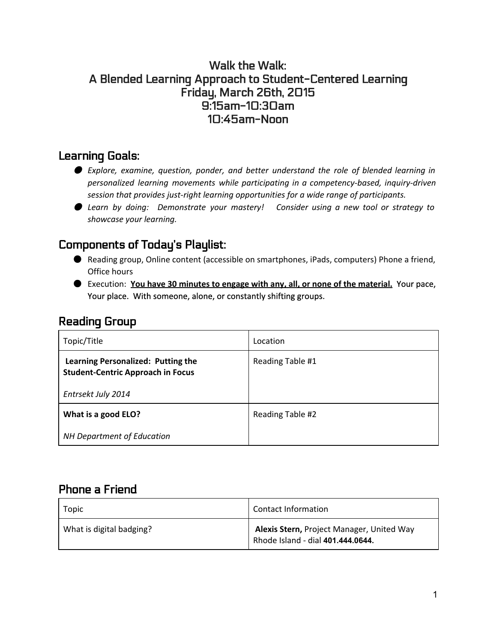#### Walk the Walk: A Blended Learning Approach to Student-Centered Learning Friday, March 26th, 2015 9:15am-10:30am 10:45am-Noon

### Learning Goals:

- *Explore, examine, question, ponder, and better understand the role of blended learning in personalized learning movements while participating in a competency-based, inquiry-driven session that provides just-right learning opportunities for a wide range of participants.*
- *Learn by doing: Demonstrate your mastery! Consider using a new tool or strategy to showcase your learning.*

# Components of Today's Playlist:

- Reading group, Online content (accessible on smartphones, iPads, computers) Phone a friend, Office hours
- Execution: **You have 30 minutes to engage with any, all, or none of the material.**Your pace, Your place. With someone, alone, or constantly shifting groups.

### Reading Group

| Topic/Title                                                                                          | Location         |
|------------------------------------------------------------------------------------------------------|------------------|
| Learning Personalized: Putting the<br><b>Student-Centric Approach in Focus</b><br>Entrsekt July 2014 | Reading Table #1 |
| What is a good ELO?                                                                                  | Reading Table #2 |
| <b>NH Department of Education</b>                                                                    |                  |

## Phone a Friend

| Topic                    | <b>Contact Information</b>                                                                  |
|--------------------------|---------------------------------------------------------------------------------------------|
| What is digital badging? | Alexis Stern, Project Manager, United Way<br><sup>1</sup> Rhode Island - dial 401.444.0644. |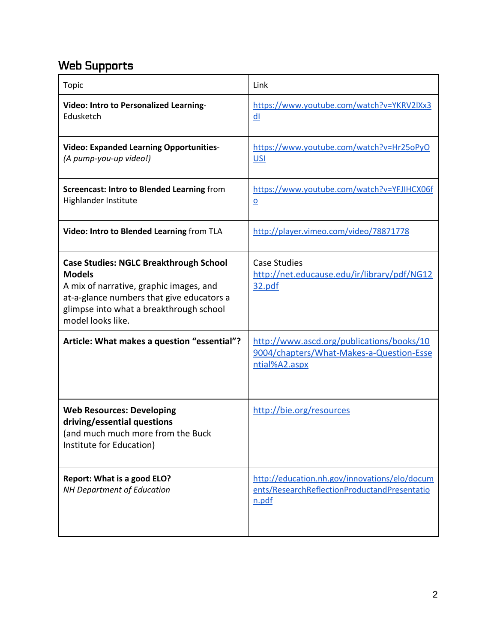# Web Supports

| <b>Topic</b>                                                                                                                                                                                                           | Link                                                                                                   |
|------------------------------------------------------------------------------------------------------------------------------------------------------------------------------------------------------------------------|--------------------------------------------------------------------------------------------------------|
| Video: Intro to Personalized Learning-<br>Edusketch                                                                                                                                                                    | https://www.youtube.com/watch?v=YKRV2IXx3<br>dl                                                        |
| <b>Video: Expanded Learning Opportunities-</b><br>(A pump-you-up video!)                                                                                                                                               | https://www.youtube.com/watch?v=Hr25oPyO<br><b>USI</b>                                                 |
| Screencast: Intro to Blended Learning from<br>Highlander Institute                                                                                                                                                     | https://www.youtube.com/watch?v=YFJIHCX06f<br>$\Omega$                                                 |
| Video: Intro to Blended Learning from TLA                                                                                                                                                                              | http://player.vimeo.com/video/78871778                                                                 |
| <b>Case Studies: NGLC Breakthrough School</b><br><b>Models</b><br>A mix of narrative, graphic images, and<br>at-a-glance numbers that give educators a<br>glimpse into what a breakthrough school<br>model looks like. | <b>Case Studies</b><br>http://net.educause.edu/ir/library/pdf/NG12<br>32.pdf                           |
| Article: What makes a question "essential"?                                                                                                                                                                            | http://www.ascd.org/publications/books/10<br>9004/chapters/What-Makes-a-Question-Esse<br>ntial%A2.aspx |
| <b>Web Resources: Developing</b><br>driving/essential questions<br>(and much much more from the Buck<br>Institute for Education)                                                                                       | http://bie.org/resources                                                                               |
| <b>Report: What is a good ELO?</b><br><b>NH Department of Education</b>                                                                                                                                                | http://education.nh.gov/innovations/elo/docum<br>ents/ResearchReflectionProductandPresentatio<br>n.pdf |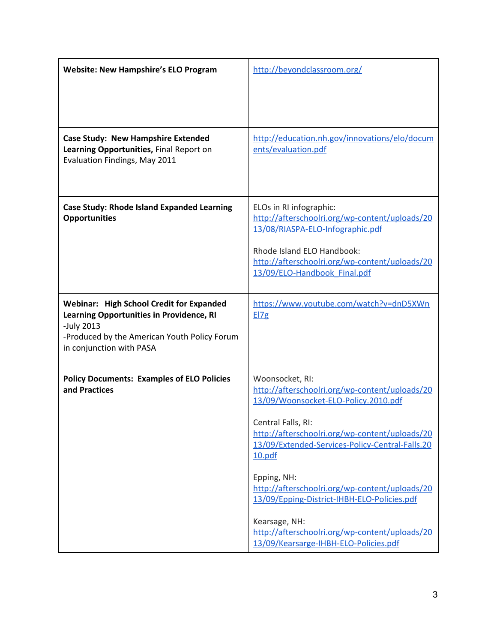| <b>Website: New Hampshire's ELO Program</b>                                                                                                                                                  | http://beyondclassroom.org/                                                                                                                                                                   |  |
|----------------------------------------------------------------------------------------------------------------------------------------------------------------------------------------------|-----------------------------------------------------------------------------------------------------------------------------------------------------------------------------------------------|--|
|                                                                                                                                                                                              |                                                                                                                                                                                               |  |
| <b>Case Study: New Hampshire Extended</b><br>Learning Opportunities, Final Report on<br>Evaluation Findings, May 2011                                                                        | http://education.nh.gov/innovations/elo/docum<br>ents/evaluation.pdf                                                                                                                          |  |
| <b>Case Study: Rhode Island Expanded Learning</b><br><b>Opportunities</b>                                                                                                                    | ELOs in RI infographic:<br>http://afterschoolri.org/wp-content/uploads/20<br>13/08/RIASPA-ELO-Infographic.pdf<br>Rhode Island ELO Handbook:<br>http://afterschoolri.org/wp-content/uploads/20 |  |
|                                                                                                                                                                                              | 13/09/ELO-Handbook Final.pdf                                                                                                                                                                  |  |
| <b>Webinar: High School Credit for Expanded</b><br><b>Learning Opportunities in Providence, RI</b><br>-July 2013<br>-Produced by the American Youth Policy Forum<br>in conjunction with PASA | https://www.youtube.com/watch?v=dnD5XWn<br>E17g                                                                                                                                               |  |
| <b>Policy Documents: Examples of ELO Policies</b><br>and Practices                                                                                                                           | Woonsocket, RI:<br>http://afterschoolri.org/wp-content/uploads/20<br>13/09/Woonsocket-ELO-Policy.2010.pdf                                                                                     |  |
|                                                                                                                                                                                              | Central Falls, RI:<br>http://afterschoolri.org/wp-content/uploads/20<br>13/09/Extended-Services-Policy-Central-Falls.20<br>10.pdf                                                             |  |
|                                                                                                                                                                                              | Epping, NH:<br>http://afterschoolri.org/wp-content/uploads/20<br>13/09/Epping-District-IHBH-ELO-Policies.pdf                                                                                  |  |
|                                                                                                                                                                                              | Kearsage, NH:<br>http://afterschoolri.org/wp-content/uploads/20<br>13/09/Kearsarge-IHBH-ELO-Policies.pdf                                                                                      |  |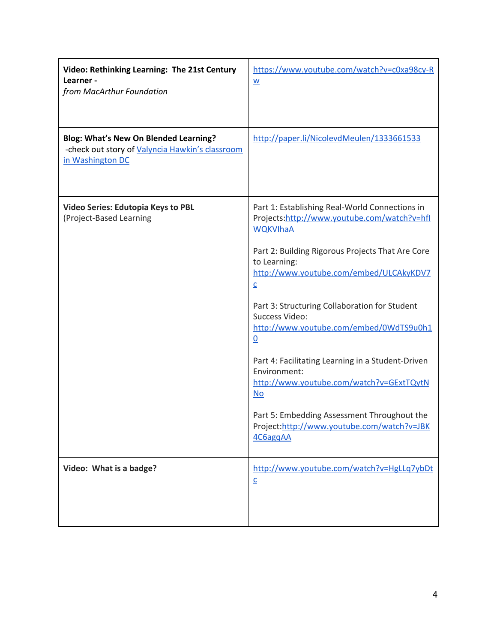| Video: Rethinking Learning: The 21st Century<br>Learner -<br>from MacArthur Foundation                       | https://www.youtube.com/watch?v=c0xa98cy-R<br>$\underline{\mathsf{W}}$                                                                                                                                                                                                                                                                                                                                                                                                                                                                                                                                             |
|--------------------------------------------------------------------------------------------------------------|--------------------------------------------------------------------------------------------------------------------------------------------------------------------------------------------------------------------------------------------------------------------------------------------------------------------------------------------------------------------------------------------------------------------------------------------------------------------------------------------------------------------------------------------------------------------------------------------------------------------|
| Blog: What's New On Blended Learning?<br>-check out story of Valyncia Hawkin's classroom<br>in Washington DC | http://paper.li/NicolevdMeulen/1333661533                                                                                                                                                                                                                                                                                                                                                                                                                                                                                                                                                                          |
| Video Series: Edutopia Keys to PBL<br>(Project-Based Learning                                                | Part 1: Establishing Real-World Connections in<br>Projects:http://www.youtube.com/watch?v=hfl<br><b>WQKVIhaA</b><br>Part 2: Building Rigorous Projects That Are Core<br>to Learning:<br>http://www.youtube.com/embed/ULCAkyKDV7<br>$\overline{C}$<br>Part 3: Structuring Collaboration for Student<br>Success Video:<br>http://www.youtube.com/embed/0WdTS9u0h1<br>$\underline{0}$<br>Part 4: Facilitating Learning in a Student-Driven<br>Environment:<br>http://www.youtube.com/watch?v=GExtTQytN<br>No<br>Part 5: Embedding Assessment Throughout the<br>Project:http://www.youtube.com/watch?v=JBK<br>4C6aggAA |
| Video: What is a badge?                                                                                      | http://www.youtube.com/watch?v=HgLLq7ybDt<br>$\underline{\mathsf{C}}$                                                                                                                                                                                                                                                                                                                                                                                                                                                                                                                                              |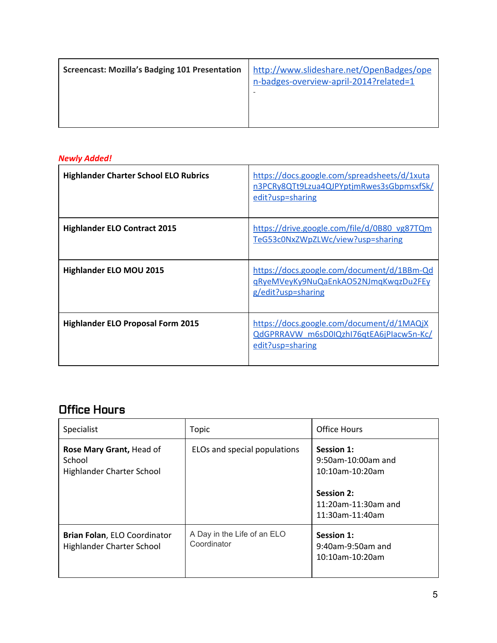|--|

#### *Newly Added!*

| <b>Highlander Charter School ELO Rubrics</b> | https://docs.google.com/spreadsheets/d/1xuta<br>n3PCRy8QTt9Lzua4QJPYptjmRwes3sGbpmsxfSk/<br>edit?usp=sharing |
|----------------------------------------------|--------------------------------------------------------------------------------------------------------------|
| <b>Highlander ELO Contract 2015</b>          | https://drive.google.com/file/d/0B80_vg87TQm<br>TeG53c0NxZWpZLWc/view?usp=sharing                            |
| <b>Highlander ELO MOU 2015</b>               | https://docs.google.com/document/d/1BBm-Qd<br>gRyeMVeyKy9NuQaEnkAO52NJmgKwgzDu2FEy<br>g/edit?usp=sharing     |
| <b>Highlander ELO Proposal Form 2015</b>     | https://docs.google.com/document/d/1MAQjX<br>QdGPRRAVW m6sD0IQzhI76qtEA6jPlacw5n-Kc/<br>edit?usp=sharing     |

# Office Hours

| Specialist                                                              | Topic                                      | Office Hours                                                                                                       |
|-------------------------------------------------------------------------|--------------------------------------------|--------------------------------------------------------------------------------------------------------------------|
| Rose Mary Grant, Head of<br>School<br><b>Highlander Charter School</b>  | ELOs and special populations               | Session 1:<br>9:50am-10:00am and<br>10:10am-10:20am<br><b>Session 2:</b><br>11:20am-11:30am and<br>11:30am-11:40am |
| <b>Brian Folan, ELO Coordinator</b><br><b>Highlander Charter School</b> | A Day in the Life of an ELO<br>Coordinator | Session 1:<br>9:40am-9:50am and<br>$10:10$ am- $10:20$ am                                                          |